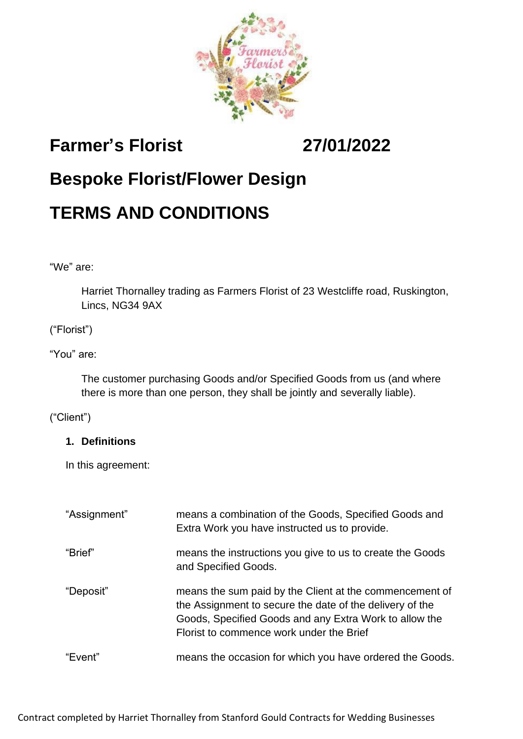

# **Farmer's Florist 27/01/2022**

# **Bespoke Florist/Flower Design**

# **TERMS AND CONDITIONS**

"We" are:

Harriet Thornalley trading as Farmers Florist of 23 Westcliffe road, Ruskington, Lincs, NG34 9AX

## ("Florist")

### "You" are:

The customer purchasing Goods and/or Specified Goods from us (and where there is more than one person, they shall be jointly and severally liable).

### ("Client")

### **1. Definitions**

In this agreement:

| "Assignment" | means a combination of the Goods, Specified Goods and<br>Extra Work you have instructed us to provide.                                                                                                                    |
|--------------|---------------------------------------------------------------------------------------------------------------------------------------------------------------------------------------------------------------------------|
| "Brief"      | means the instructions you give to us to create the Goods<br>and Specified Goods.                                                                                                                                         |
| "Deposit"    | means the sum paid by the Client at the commencement of<br>the Assignment to secure the date of the delivery of the<br>Goods, Specified Goods and any Extra Work to allow the<br>Florist to commence work under the Brief |
| "Event"      | means the occasion for which you have ordered the Goods.                                                                                                                                                                  |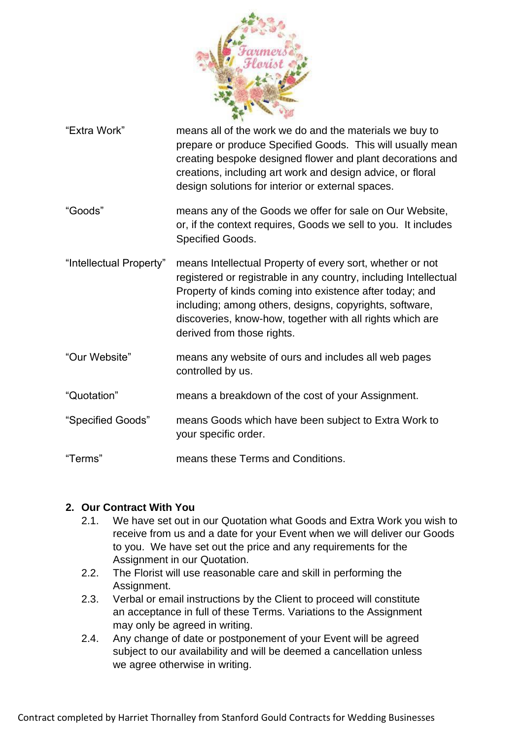

"Extra Work" means all of the work we do and the materials we buy to prepare or produce Specified Goods. This will usually mean creating bespoke designed flower and plant decorations and creations, including art work and design advice, or floral design solutions for interior or external spaces. "Goods" means any of the Goods we offer for sale on Our Website, or, if the context requires, Goods we sell to you. It includes Specified Goods. "Intellectual Property" means Intellectual Property of every sort, whether or not registered or registrable in any country, including Intellectual Property of kinds coming into existence after today; and including; among others, designs, copyrights, software, discoveries, know-how, together with all rights which are derived from those rights. "Our Website" means any website of ours and includes all web pages controlled by us. "Quotation" means a breakdown of the cost of your Assignment. "Specified Goods" means Goods which have been subject to Extra Work to your specific order.

"Terms" means these Terms and Conditions.

### **2. Our Contract With You**

- 2.1. We have set out in our Quotation what Goods and Extra Work you wish to receive from us and a date for your Event when we will deliver our Goods to you. We have set out the price and any requirements for the Assignment in our Quotation.
- 2.2. The Florist will use reasonable care and skill in performing the Assignment.
- 2.3. Verbal or email instructions by the Client to proceed will constitute an acceptance in full of these Terms. Variations to the Assignment may only be agreed in writing.
- 2.4. Any change of date or postponement of your Event will be agreed subject to our availability and will be deemed a cancellation unless we agree otherwise in writing.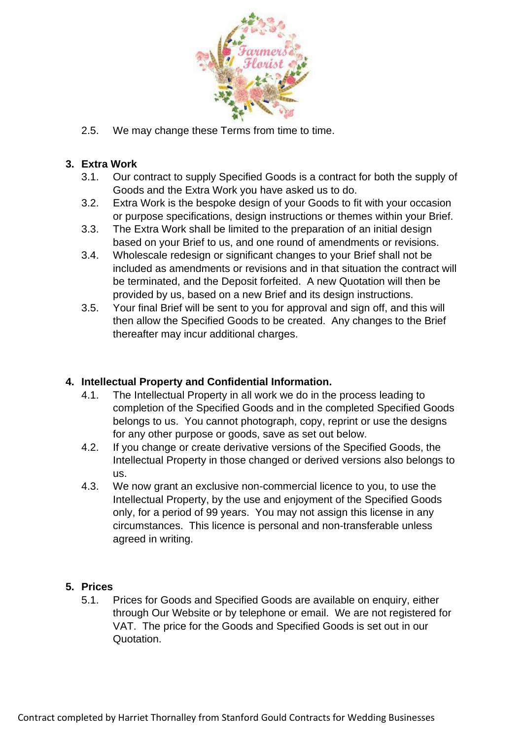

2.5. We may change these Terms from time to time.

### **3. Extra Work**

- 3.1. Our contract to supply Specified Goods is a contract for both the supply of Goods and the Extra Work you have asked us to do.
- 3.2. Extra Work is the bespoke design of your Goods to fit with your occasion or purpose specifications, design instructions or themes within your Brief.
- 3.3. The Extra Work shall be limited to the preparation of an initial design based on your Brief to us, and one round of amendments or revisions.
- 3.4. Wholescale redesign or significant changes to your Brief shall not be included as amendments or revisions and in that situation the contract will be terminated, and the Deposit forfeited. A new Quotation will then be provided by us, based on a new Brief and its design instructions.
- 3.5. Your final Brief will be sent to you for approval and sign off, and this will then allow the Specified Goods to be created. Any changes to the Brief thereafter may incur additional charges.

## **4. Intellectual Property and Confidential Information.**

- 4.1. The Intellectual Property in all work we do in the process leading to completion of the Specified Goods and in the completed Specified Goods belongs to us. You cannot photograph, copy, reprint or use the designs for any other purpose or goods, save as set out below.
- 4.2. If you change or create derivative versions of the Specified Goods, the Intellectual Property in those changed or derived versions also belongs to us.
- 4.3. We now grant an exclusive non-commercial licence to you, to use the Intellectual Property, by the use and enjoyment of the Specified Goods only, for a period of 99 years. You may not assign this license in any circumstances. This licence is personal and non-transferable unless agreed in writing.

### **5. Prices**

5.1. Prices for Goods and Specified Goods are available on enquiry, either through Our Website or by telephone or email. We are not registered for VAT. The price for the Goods and Specified Goods is set out in our Quotation.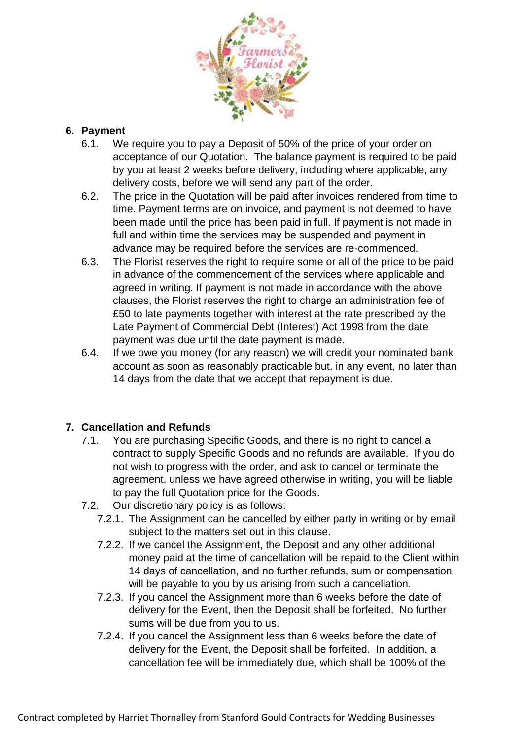

## **6. Payment**

- 6.1. We require you to pay a Deposit of 50% of the price of your order on acceptance of our Quotation. The balance payment is required to be paid by you at least 2 weeks before delivery, including where applicable, any delivery costs, before we will send any part of the order.
- 6.2. The price in the Quotation will be paid after invoices rendered from time to time. Payment terms are on invoice, and payment is not deemed to have been made until the price has been paid in full. If payment is not made in full and within time the services may be suspended and payment in advance may be required before the services are re-commenced.
- 6.3. The Florist reserves the right to require some or all of the price to be paid in advance of the commencement of the services where applicable and agreed in writing. If payment is not made in accordance with the above clauses, the Florist reserves the right to charge an administration fee of £50 to late payments together with interest at the rate prescribed by the Late Payment of Commercial Debt (Interest) Act 1998 from the date payment was due until the date payment is made.
- 6.4. If we owe you money (for any reason) we will credit your nominated bank account as soon as reasonably practicable but, in any event, no later than 14 days from the date that we accept that repayment is due.

## **7. Cancellation and Refunds**

- 7.1. You are purchasing Specific Goods, and there is no right to cancel a contract to supply Specific Goods and no refunds are available. If you do not wish to progress with the order, and ask to cancel or terminate the agreement, unless we have agreed otherwise in writing, you will be liable to pay the full Quotation price for the Goods.
- 7.2. Our discretionary policy is as follows:
	- 7.2.1. The Assignment can be cancelled by either party in writing or by email subject to the matters set out in this clause.
	- 7.2.2. If we cancel the Assignment, the Deposit and any other additional money paid at the time of cancellation will be repaid to the Client within 14 days of cancellation, and no further refunds, sum or compensation will be payable to you by us arising from such a cancellation.
	- 7.2.3. If you cancel the Assignment more than 6 weeks before the date of delivery for the Event, then the Deposit shall be forfeited. No further sums will be due from you to us.
	- 7.2.4. If you cancel the Assignment less than 6 weeks before the date of delivery for the Event, the Deposit shall be forfeited. In addition, a cancellation fee will be immediately due, which shall be 100% of the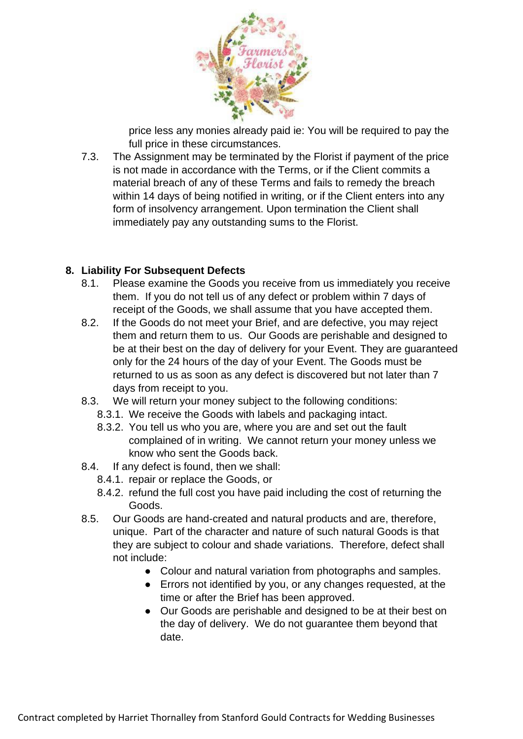

price less any monies already paid ie: You will be required to pay the full price in these circumstances.

7.3. The Assignment may be terminated by the Florist if payment of the price is not made in accordance with the Terms, or if the Client commits a material breach of any of these Terms and fails to remedy the breach within 14 days of being notified in writing, or if the Client enters into any form of insolvency arrangement. Upon termination the Client shall immediately pay any outstanding sums to the Florist.

## **8. Liability For Subsequent Defects**

- 8.1. Please examine the Goods you receive from us immediately you receive them. If you do not tell us of any defect or problem within 7 days of receipt of the Goods, we shall assume that you have accepted them.
- 8.2. If the Goods do not meet your Brief, and are defective, you may reject them and return them to us. Our Goods are perishable and designed to be at their best on the day of delivery for your Event. They are guaranteed only for the 24 hours of the day of your Event. The Goods must be returned to us as soon as any defect is discovered but not later than 7 days from receipt to you.
- 8.3. We will return your money subject to the following conditions:
	- 8.3.1. We receive the Goods with labels and packaging intact.
	- 8.3.2. You tell us who you are, where you are and set out the fault complained of in writing. We cannot return your money unless we know who sent the Goods back.
- 8.4. If any defect is found, then we shall:
	- 8.4.1. repair or replace the Goods, or
	- 8.4.2. refund the full cost you have paid including the cost of returning the Goods.
- 8.5. Our Goods are hand-created and natural products and are, therefore, unique. Part of the character and nature of such natural Goods is that they are subject to colour and shade variations. Therefore, defect shall not include:
	- Colour and natural variation from photographs and samples.
	- Errors not identified by you, or any changes requested, at the time or after the Brief has been approved.
	- Our Goods are perishable and designed to be at their best on the day of delivery. We do not guarantee them beyond that date.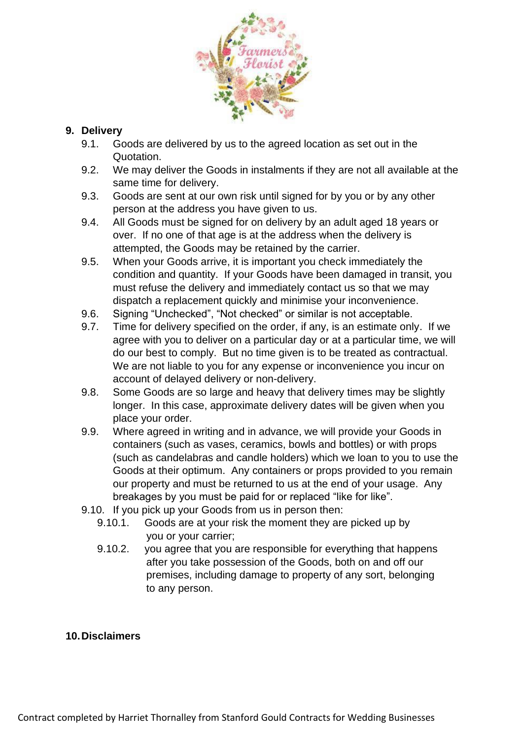

## **9. Delivery**

- 9.1. Goods are delivered by us to the agreed location as set out in the Quotation.
- 9.2. We may deliver the Goods in instalments if they are not all available at the same time for delivery.
- 9.3. Goods are sent at our own risk until signed for by you or by any other person at the address you have given to us.
- 9.4. All Goods must be signed for on delivery by an adult aged 18 years or over. If no one of that age is at the address when the delivery is attempted, the Goods may be retained by the carrier.
- 9.5. When your Goods arrive, it is important you check immediately the condition and quantity. If your Goods have been damaged in transit, you must refuse the delivery and immediately contact us so that we may dispatch a replacement quickly and minimise your inconvenience.
- 9.6. Signing "Unchecked", "Not checked" or similar is not acceptable.
- 9.7. Time for delivery specified on the order, if any, is an estimate only. If we agree with you to deliver on a particular day or at a particular time, we will do our best to comply. But no time given is to be treated as contractual. We are not liable to you for any expense or inconvenience you incur on account of delayed delivery or non-delivery.
- 9.8. Some Goods are so large and heavy that delivery times may be slightly longer. In this case, approximate delivery dates will be given when you place your order.
- 9.9. Where agreed in writing and in advance, we will provide your Goods in containers (such as vases, ceramics, bowls and bottles) or with props (such as candelabras and candle holders) which we loan to you to use the Goods at their optimum. Any containers or props provided to you remain our property and must be returned to us at the end of your usage. Any breakages by you must be paid for or replaced "like for like".
- 9.10. If you pick up your Goods from us in person then:
	- 9.10.1. Goods are at your risk the moment they are picked up by you or your carrier;
	- 9.10.2. you agree that you are responsible for everything that happens after you take possession of the Goods, both on and off our premises, including damage to property of any sort, belonging to any person.

### **10.Disclaimers**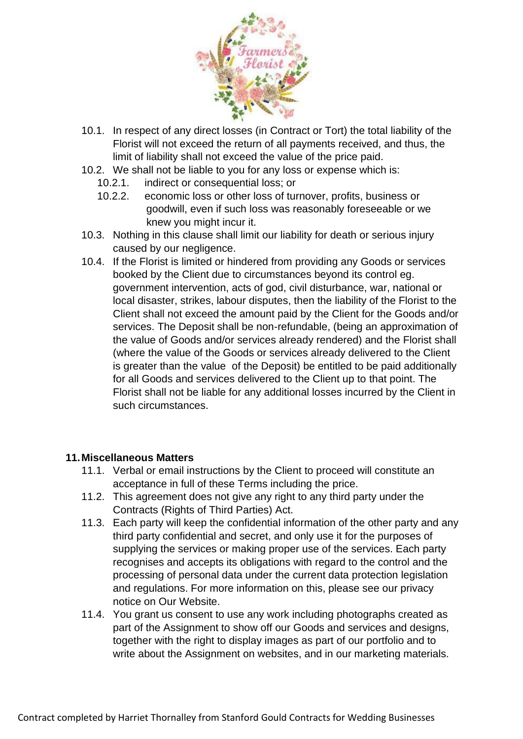

- 10.1. In respect of any direct losses (in Contract or Tort) the total liability of the Florist will not exceed the return of all payments received, and thus, the limit of liability shall not exceed the value of the price paid.
- 10.2. We shall not be liable to you for any loss or expense which is:
	- 10.2.1. indirect or consequential loss; or
	- 10.2.2. economic loss or other loss of turnover, profits, business or goodwill, even if such loss was reasonably foreseeable or we knew you might incur it.
- 10.3. Nothing in this clause shall limit our liability for death or serious injury caused by our negligence.
- 10.4. If the Florist is limited or hindered from providing any Goods or services booked by the Client due to circumstances beyond its control eg. government intervention, acts of god, civil disturbance, war, national or local disaster, strikes, labour disputes, then the liability of the Florist to the Client shall not exceed the amount paid by the Client for the Goods and/or services. The Deposit shall be non-refundable, (being an approximation of the value of Goods and/or services already rendered) and the Florist shall (where the value of the Goods or services already delivered to the Client is greater than the value of the Deposit) be entitled to be paid additionally for all Goods and services delivered to the Client up to that point. The Florist shall not be liable for any additional losses incurred by the Client in such circumstances.

#### **11.Miscellaneous Matters**

- 11.1. Verbal or email instructions by the Client to proceed will constitute an acceptance in full of these Terms including the price.
- 11.2. This agreement does not give any right to any third party under the Contracts (Rights of Third Parties) Act.
- 11.3. Each party will keep the confidential information of the other party and any third party confidential and secret, and only use it for the purposes of supplying the services or making proper use of the services. Each party recognises and accepts its obligations with regard to the control and the processing of personal data under the current data protection legislation and regulations. For more information on this, please see our privacy notice on Our Website.
- 11.4. You grant us consent to use any work including photographs created as part of the Assignment to show off our Goods and services and designs, together with the right to display images as part of our portfolio and to write about the Assignment on websites, and in our marketing materials.